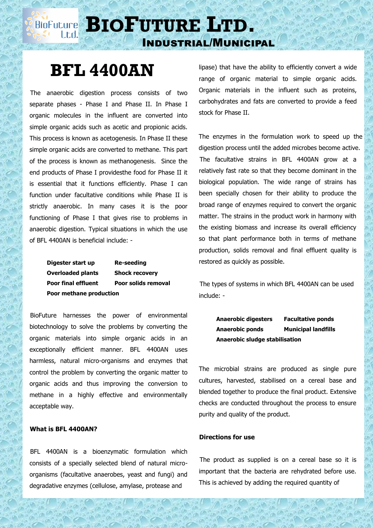# **BIOFULURE BIOFUTURE** LTD. Industrial/Municipal

# **BFL 4400AN**

 The anaerobic digestion process consists of two separate phases - Phase I and Phase II. In Phase I organic molecules in the influent are converted into simple organic acids such as acetic and propionic acids. This process is known as acetogenesis. In Phase II these simple organic acids are converted to methane. This part of the process is known as methanogenesis. Since the end products of Phase I providesthe food for Phase II it is essential that it functions efficiently. Phase I can function under facultative conditions while Phase II is strictly anaerobic. In many cases it is the poor functioning of Phase I that gives rise to problems in anaerobic digestion. Typical situations in which the use of BFL 4400AN is beneficial include: -

> **Digester start up Re-seeding Overloaded plants Shock recovery Poor final effluent Poor solids removal Poor methane production**

 BioFuture harnesses the power of environmental biotechnology to solve the problems by converting the organic materials into simple organic acids in an exceptionally efficient manner. BFL 4400AN uses harmless, natural micro-organisms and enzymes that control the problem by converting the organic matter to organic acids and thus improving the conversion to methane in a highly effective and environmentally acceptable way.

## **What is BFL 4400AN?**

 BFL 4400AN is a bioenzymatic formulation which consists of a specially selected blend of natural microorganisms (facultative anaerobes, yeast and fungi) and degradative enzymes (cellulose, amylase, protease and

lipase) that have the ability to efficiently convert a wide range of organic material to simple organic acids. Organic materials in the influent such as proteins, carbohydrates and fats are converted to provide a feed stock for Phase II.

The enzymes in the formulation work to speed up the digestion process until the added microbes become active. The facultative strains in BFL 4400AN grow at a relatively fast rate so that they become dominant in the biological population. The wide range of strains has been specially chosen for their ability to produce the broad range of enzymes required to convert the organic matter. The strains in the product work in harmony with the existing biomass and increase its overall efficiency so that plant performance both in terms of methane production, solids removal and final effluent quality is restored as quickly as possible.

 The types of systems in which BFL 4400AN can be used include: -

> **Anaerobic digesters Facultative ponds Anaerobic ponds Municipal landfills Anaerobic sludge stabilisation**

The microbial strains are produced as single pure cultures, harvested, stabilised on a cereal base and blended together to produce the final product. Extensive checks are conducted throughout the process to ensure purity and quality of the product.

### **Directions for use**

 The product as supplied is on a cereal base so it is important that the bacteria are rehydrated before use. This is achieved by adding the required quantity of